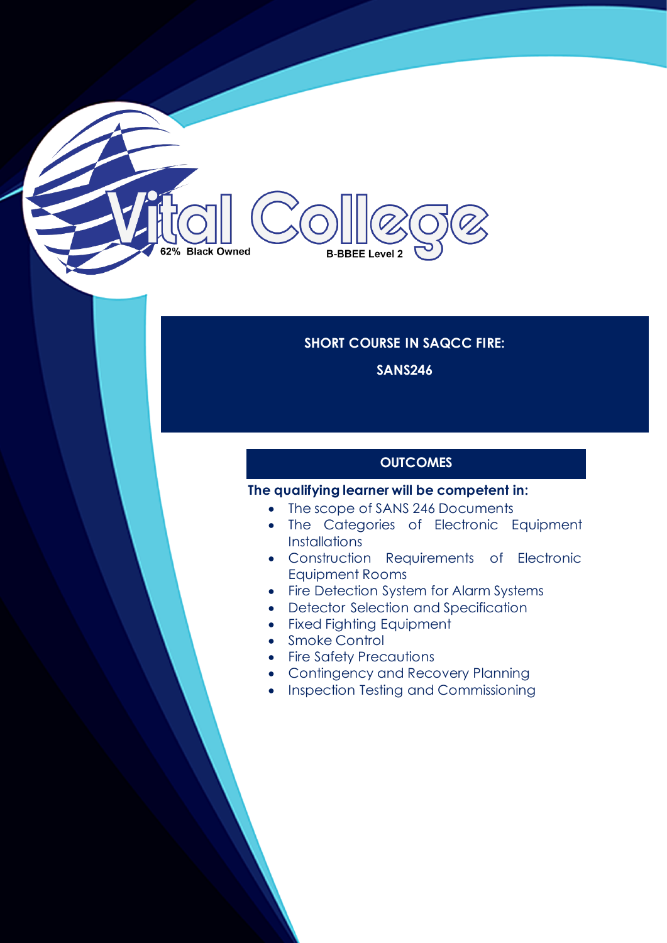# 62% Black Owned **B-BBEE Level 2**

#### **SHORT COURSE IN SAQCC FIRE:**

**SANS246**

## **OUTCOMES**

#### **The qualifying learner will be competent in:**

- The scope of SANS 246 Documents
- The Categories of Electronic Equipment **Installations**
- Construction Requirements of Electronic Equipment Rooms
- Fire Detection System for Alarm Systems
- Detector Selection and Specification
- Fixed Fighting Equipment
- Smoke Control
- Fire Safety Precautions
- Contingency and Recovery Planning
- Inspection Testing and Commissioning